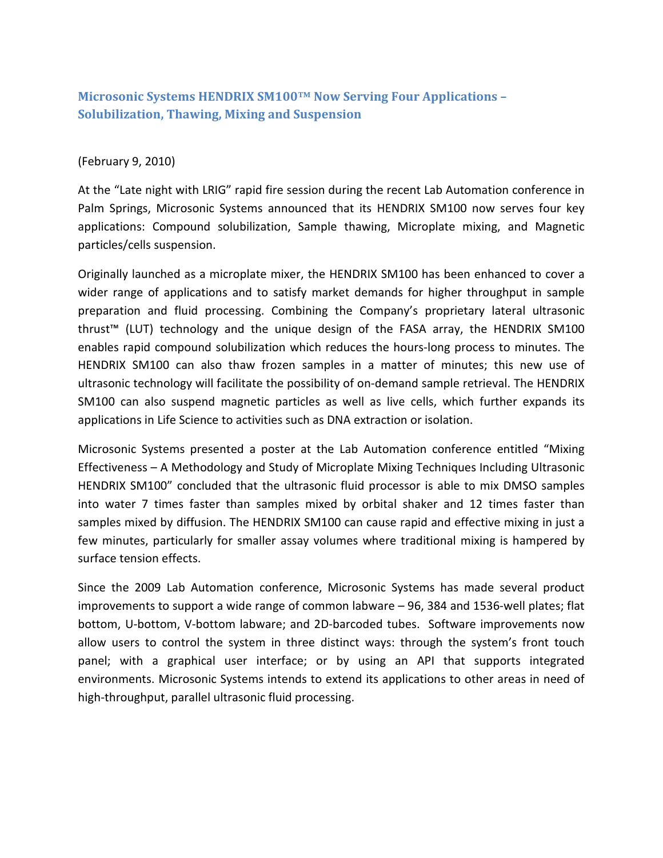## **Microsonic Systems HENDRIX SM100™ Now Serving Four Applications – Solubilization, Thawing, Mixing and Suspension**

## (February 9, 2010)

At the "Late night with LRIG" rapid fire session during the recent Lab Automation conference in Palm Springs, Microsonic Systems announced that its HENDRIX SM100 now serves four key applications: Compound solubilization, Sample thawing, Microplate mixing, and Magnetic particles/cells suspension.

Originally launched as a microplate mixer, the HENDRIX SM100 has been enhanced to cover a wider range of applications and to satisfy market demands for higher throughput in sample preparation and fluid processing. Combining the Company's proprietary lateral ultrasonic thrust™ (LUT) technology and the unique design of the FASA array, the HENDRIX SM100 enables rapid compound solubilization which reduces the hours-long process to minutes. The HENDRIX SM100 can also thaw frozen samples in a matter of minutes; this new use of ultrasonic technology will facilitate the possibility of on-demand sample retrieval. The HENDRIX SM100 can also suspend magnetic particles as well as live cells, which further expands its applications in Life Science to activities such as DNA extraction or isolation.

Microsonic Systems presented a poster at the Lab Automation conference entitled "Mixing Effectiveness – A Methodology and Study of Microplate Mixing Techniques Including Ultrasonic HENDRIX SM100" concluded that the ultrasonic fluid processor is able to mix DMSO samples into water 7 times faster than samples mixed by orbital shaker and 12 times faster than samples mixed by diffusion. The HENDRIX SM100 can cause rapid and effective mixing in just a few minutes, particularly for smaller assay volumes where traditional mixing is hampered by surface tension effects.

Since the 2009 Lab Automation conference, Microsonic Systems has made several product improvements to support a wide range of common labware – 96, 384 and 1536-well plates; flat bottom, U-bottom, V-bottom labware; and 2D-barcoded tubes. Software improvements now allow users to control the system in three distinct ways: through the system's front touch panel; with a graphical user interface; or by using an API that supports integrated environments. Microsonic Systems intends to extend its applications to other areas in need of high-throughput, parallel ultrasonic fluid processing.